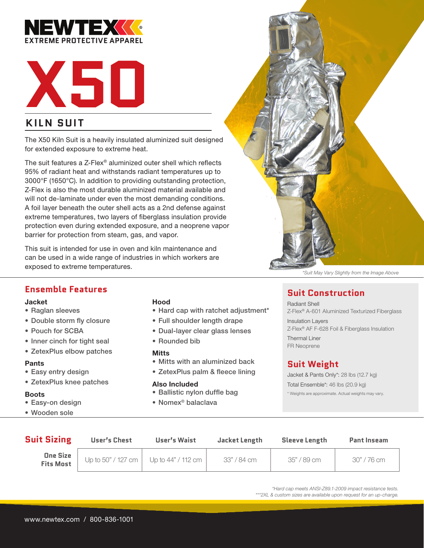



# **KILN SUIT**

The X50 Kiln Suit is a heavily insulated aluminized suit designed for extended exposure to extreme heat.

The suit features a Z-Flex® aluminized outer shell which reflects 95% of radiant heat and withstands radiant temperatures up to 3000°F (1650°C). In addition to providing outstanding protection, Z-Flex is also the most durable aluminized material available and will not de-laminate under even the most demanding conditions. A foil layer beneath the outer shell acts as a 2nd defense against extreme temperatures, two layers of fiberglass insulation provide protection even during extended exposure, and a neoprene vapor barrier for protection from steam, gas, and vapor.

This suit is intended for use in oven and kiln maintenance and can be used in a wide range of industries in which workers are exposed to extreme temperatures.



*\*Suit May Vary Slightly from the Image Above* 

# **Ensemble Features**

#### Jacket

- Raglan sleeves
- Double storm fly closure
- Pouch for SCBA
- Inner cinch for tight seal
- ZetexPlus elbow patches

#### Pants

- Easy entry design
- ZetexPlus knee patches

#### Boots

- Easy-on design
- Wooden sole

#### Hood

- Hard cap with ratchet adjustment\*
- Full shoulder length drape
- Dual-layer clear glass lenses
- Rounded bib

#### **Mitts**

- Mitts with an aluminized back
- ZetexPlus palm & fleece lining

#### Also Included

- Ballistic nylon duffle bag
- Nomex® balaclava

# **Suit Construction**

Radiant Shell Z-Flex® A-601 Aluminized Texturized Fiberglass Insulation Layers

Z-Flex® AF F-628 Foil & Fiberglass Insulation

Thermal Liner FR Neoprene

# **Suit Weight**

Jacket & Pants Only\*: 28 lbs (12.7 kg) Total Ensemble\*: 46 lbs (20.9 kg) \* Weights are approximate. Actual weights may vary.

| <b>Suit Sizing</b>    | <b>User's Chest</b> | <b>User's Waist</b>                     | Jacket Length | <b>Sleeve Length</b> | <b>Pant Inseam</b> |
|-----------------------|---------------------|-----------------------------------------|---------------|----------------------|--------------------|
| One Size<br>Fits Most |                     | Up to 50" / 127 cm   Up to 44" / 112 cm | 33" / 84 cm   | 35" / 89 cm          | 30" / 76 cm        |

*\*Hard cap meets ANSI-Z89.1-2009 impact resistance tests. \*\*\*2XL & custom sizes are available upon request for an up-charge.*